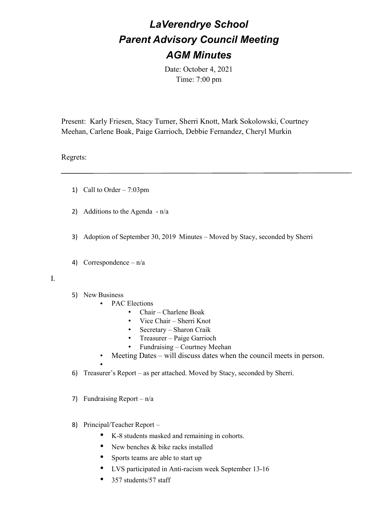## *LaVerendrye School Parent Advisory Council Meeting AGM Minutes*

Date: October 4, 2021 Time: 7:00 pm

Present: Karly Friesen, Stacy Turner, Sherri Knott, Mark Sokolowski, Courtney Meehan, Carlene Boak, Paige Garrioch, Debbie Fernandez, Cheryl Murkin

## Regrets:

- 1) Call to Order  $-7:03 \text{pm}$
- 2) Additions to the Agenda  $-n/a$
- 3) Adoption of September 30, 2019 Minutes Moved by Stacy, seconded by Sherri
- 4) Correspondence  $n/a$

## I.

5) New Business

•

- PAC Elections
	- Chair Charlene Boak
	- Vice Chair Sherri Knot
	- Secretary Sharon Craik
	- Treasurer Paige Garrioch
	- Fundraising Courtney Meehan
	- Meeting Dates will discuss dates when the council meets in person.
- 6) Treasurer's Report as per attached. Moved by Stacy, seconded by Sherri.
- 7) Fundraising Report  $n/a$
- 8) Principal/Teacher Report
	- K-8 students masked and remaining in cohorts.
	- New benches & bike racks installed
	- Sports teams are able to start up
	- LVS participated in Anti-racism week September 13-16
	- 357 students/57 staff